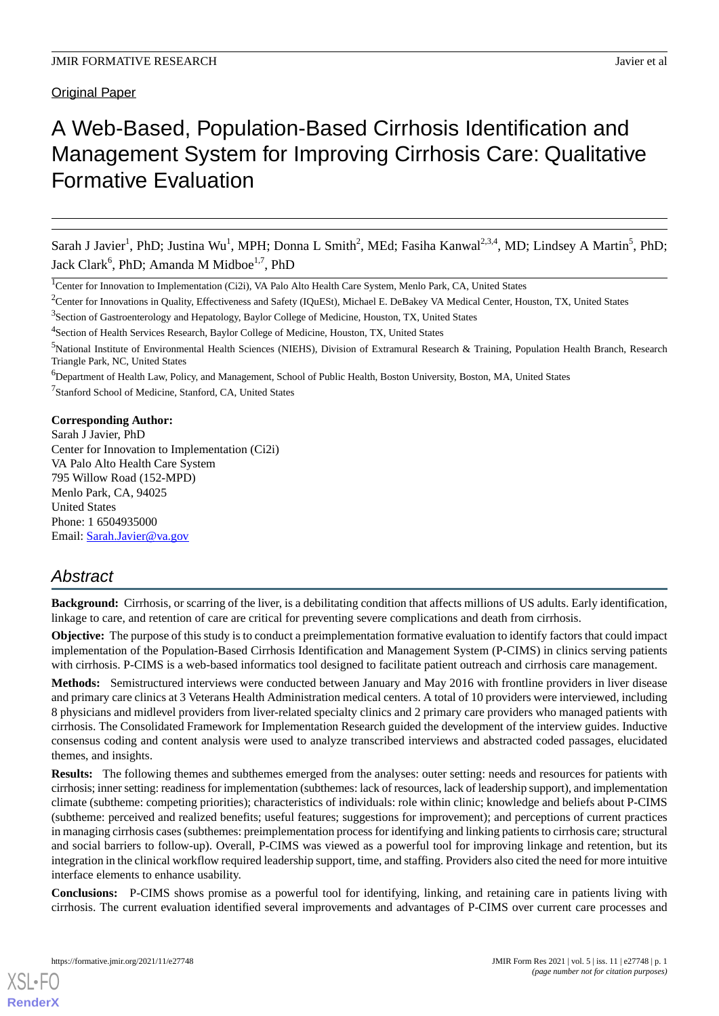Original Paper

# A Web-Based, Population-Based Cirrhosis Identification and Management System for Improving Cirrhosis Care: Qualitative Formative Evaluation

Sarah J Javier<sup>1</sup>, PhD; Justina Wu<sup>1</sup>, MPH; Donna L Smith<sup>2</sup>, MEd; Fasiha Kanwal<sup>2,3,4</sup>, MD; Lindsey A Martin<sup>5</sup>, PhD; Jack Clark<sup>6</sup>, PhD; Amanda M Midboe<sup>1,7</sup>, PhD

<sup>2</sup>Center for Innovations in Quality, Effectiveness and Safety (IQuESt), Michael E. DeBakey VA Medical Center, Houston, TX, United States

<sup>3</sup>Section of Gastroenterology and Hepatology, Baylor College of Medicine, Houston, TX, United States

<sup>4</sup>Section of Health Services Research, Baylor College of Medicine, Houston, TX, United States

## **Corresponding Author:**

Sarah J Javier, PhD Center for Innovation to Implementation (Ci2i) VA Palo Alto Health Care System 795 Willow Road (152-MPD) Menlo Park, CA, 94025 United States Phone: 1 6504935000 Email: [Sarah.Javier@va.gov](mailto:Sarah.Javier@va.gov)

## *Abstract*

**Background:** Cirrhosis, or scarring of the liver, is a debilitating condition that affects millions of US adults. Early identification, linkage to care, and retention of care are critical for preventing severe complications and death from cirrhosis.

**Objective:** The purpose of this study is to conduct a preimplementation formative evaluation to identify factors that could impact implementation of the Population-Based Cirrhosis Identification and Management System (P-CIMS) in clinics serving patients with cirrhosis. P-CIMS is a web-based informatics tool designed to facilitate patient outreach and cirrhosis care management.

**Methods:** Semistructured interviews were conducted between January and May 2016 with frontline providers in liver disease and primary care clinics at 3 Veterans Health Administration medical centers. A total of 10 providers were interviewed, including 8 physicians and midlevel providers from liver-related specialty clinics and 2 primary care providers who managed patients with cirrhosis. The Consolidated Framework for Implementation Research guided the development of the interview guides. Inductive consensus coding and content analysis were used to analyze transcribed interviews and abstracted coded passages, elucidated themes, and insights.

**Results:** The following themes and subthemes emerged from the analyses: outer setting: needs and resources for patients with cirrhosis; inner setting: readiness for implementation (subthemes: lack of resources, lack of leadership support), and implementation climate (subtheme: competing priorities); characteristics of individuals: role within clinic; knowledge and beliefs about P-CIMS (subtheme: perceived and realized benefits; useful features; suggestions for improvement); and perceptions of current practices in managing cirrhosis cases (subthemes: preimplementation process for identifying and linking patients to cirrhosis care; structural and social barriers to follow-up). Overall, P-CIMS was viewed as a powerful tool for improving linkage and retention, but its integration in the clinical workflow required leadership support, time, and staffing. Providers also cited the need for more intuitive interface elements to enhance usability.

**Conclusions:** P-CIMS shows promise as a powerful tool for identifying, linking, and retaining care in patients living with cirrhosis. The current evaluation identified several improvements and advantages of P-CIMS over current care processes and

<sup>&</sup>lt;sup>1</sup>Center for Innovation to Implementation (Ci2i), VA Palo Alto Health Care System, Menlo Park, CA, United States

<sup>5</sup>National Institute of Environmental Health Sciences (NIEHS), Division of Extramural Research & Training, Population Health Branch, Research Triangle Park, NC, United States

<sup>&</sup>lt;sup>6</sup>Department of Health Law, Policy, and Management, School of Public Health, Boston University, Boston, MA, United States <sup>7</sup>Stanford School of Medicine, Stanford, CA, United States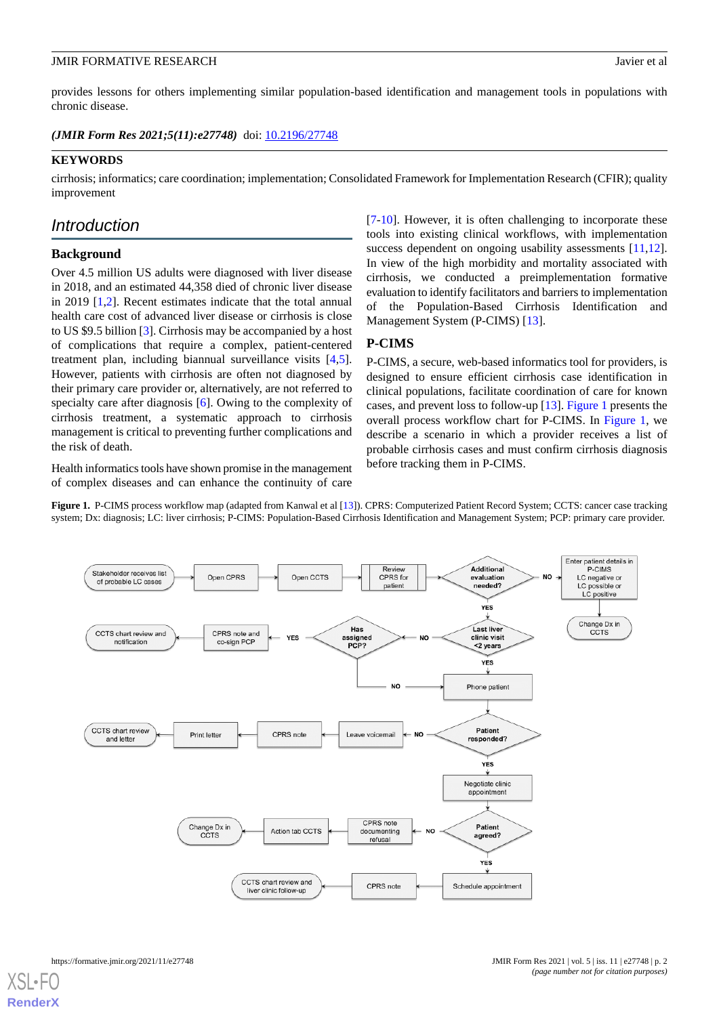provides lessons for others implementing similar population-based identification and management tools in populations with chronic disease.

(JMIR Form Res 2021;5(11):e27748) doi: [10.2196/27748](http://dx.doi.org/10.2196/27748)

## **KEYWORDS**

cirrhosis; informatics; care coordination; implementation; Consolidated Framework for Implementation Research (CFIR); quality improvement

## *Introduction*

## **Background**

Over 4.5 million US adults were diagnosed with liver disease in 2018, and an estimated 44,358 died of chronic liver disease in 2019 [[1,](#page-10-0)[2](#page-10-1)]. Recent estimates indicate that the total annual health care cost of advanced liver disease or cirrhosis is close to US \$9.5 billion [[3\]](#page-10-2). Cirrhosis may be accompanied by a host of complications that require a complex, patient-centered treatment plan, including biannual surveillance visits [\[4](#page-10-3),[5\]](#page-10-4). However, patients with cirrhosis are often not diagnosed by their primary care provider or, alternatively, are not referred to specialty care after diagnosis [[6\]](#page-10-5). Owing to the complexity of cirrhosis treatment, a systematic approach to cirrhosis management is critical to preventing further complications and the risk of death.

<span id="page-1-0"></span>Health informatics tools have shown promise in the management of complex diseases and can enhance the continuity of care

[[7](#page-10-6)[-10](#page-10-7)]. However, it is often challenging to incorporate these tools into existing clinical workflows, with implementation success dependent on ongoing usability assessments [\[11](#page-10-8),[12\]](#page-10-9). In view of the high morbidity and mortality associated with cirrhosis, we conducted a preimplementation formative evaluation to identify facilitators and barriers to implementation of the Population-Based Cirrhosis Identification and Management System (P-CIMS) [\[13](#page-10-10)].

## **P-CIMS**

P-CIMS, a secure, web-based informatics tool for providers, is designed to ensure efficient cirrhosis case identification in clinical populations, facilitate coordination of care for known cases, and prevent loss to follow-up [\[13](#page-10-10)]. [Figure 1](#page-1-0) presents the overall process workflow chart for P-CIMS. In [Figure 1](#page-1-0), we describe a scenario in which a provider receives a list of probable cirrhosis cases and must confirm cirrhosis diagnosis before tracking them in P-CIMS.

**Figure 1.** P-CIMS process workflow map (adapted from Kanwal et al [\[13\]](#page-10-10)). CPRS: Computerized Patient Record System; CCTS: cancer case tracking system; Dx: diagnosis; LC: liver cirrhosis; P-CIMS: Population-Based Cirrhosis Identification and Management System; PCP: primary care provider.

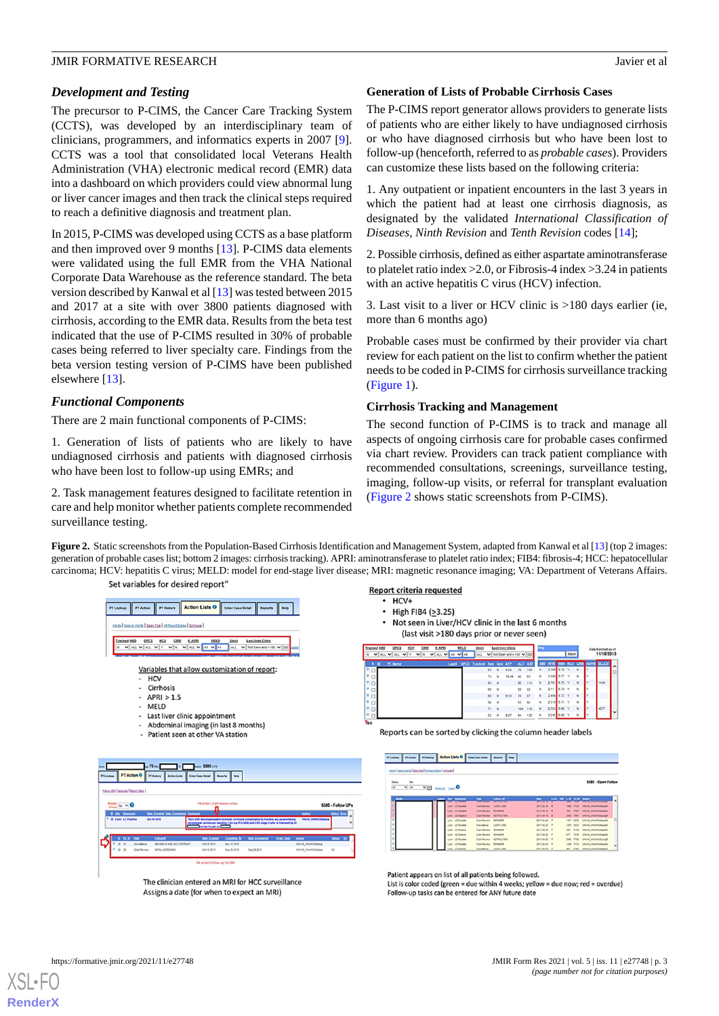## *Development and Testing*

The precursor to P-CIMS, the Cancer Care Tracking System (CCTS), was developed by an interdisciplinary team of clinicians, programmers, and informatics experts in 2007 [[9\]](#page-10-11). CCTS was a tool that consolidated local Veterans Health Administration (VHA) electronic medical record (EMR) data into a dashboard on which providers could view abnormal lung or liver cancer images and then track the clinical steps required to reach a definitive diagnosis and treatment plan.

In 2015, P-CIMS was developed using CCTS as a base platform and then improved over 9 months [[13\]](#page-10-10). P-CIMS data elements were validated using the full EMR from the VHA National Corporate Data Warehouse as the reference standard. The beta version described by Kanwal et al [\[13](#page-10-10)] was tested between 2015 and 2017 at a site with over 3800 patients diagnosed with cirrhosis, according to the EMR data. Results from the beta test indicated that the use of P-CIMS resulted in 30% of probable cases being referred to liver specialty care. Findings from the beta version testing version of P-CIMS have been published elsewhere [\[13](#page-10-10)].

## *Functional Components*

There are 2 main functional components of P-CIMS:

1. Generation of lists of patients who are likely to have undiagnosed cirrhosis and patients with diagnosed cirrhosis who have been lost to follow-up using EMRs; and

<span id="page-2-0"></span>2. Task management features designed to facilitate retention in care and help monitor whether patients complete recommended surveillance testing.

## **Generation of Lists of Probable Cirrhosis Cases**

The P-CIMS report generator allows providers to generate lists of patients who are either likely to have undiagnosed cirrhosis or who have diagnosed cirrhosis but who have been lost to follow-up (henceforth, referred to as *probable cases*). Providers can customize these lists based on the following criteria:

1. Any outpatient or inpatient encounters in the last 3 years in which the patient had at least one cirrhosis diagnosis, as designated by the validated *International Classification of Diseases, Ninth Revision* and *Tenth Revision* codes [\[14](#page-10-12)];

2. Possible cirrhosis, defined as either aspartate aminotransferase to platelet ratio index >2.0, or Fibrosis-4 index >3.24 in patients with an active hepatitis C virus (HCV) infection.

3. Last visit to a liver or HCV clinic is >180 days earlier (ie, more than 6 months ago)

Probable cases must be confirmed by their provider via chart review for each patient on the list to confirm whether the patient needs to be coded in P-CIMS for cirrhosis surveillance tracking ([Figure 1\)](#page-1-0).

## **Cirrhosis Tracking and Management**

The second function of P-CIMS is to track and manage all aspects of ongoing cirrhosis care for probable cases confirmed via chart review. Providers can track patient compliance with recommended consultations, screenings, surveillance testing, imaging, follow-up visits, or referral for transplant evaluation ([Figure 2](#page-2-0) shows static screenshots from P-CIMS).

**Figure 2.** Static screenshots from the Population-Based Cirrhosis Identification and Management System, adapted from Kanwal et al [\[13\]](#page-10-10) (top 2 images: generation of probable cases list; bottom 2 images: cirrhosis tracking). APRI: aminotransferase to platelet ratio index; FIB4: fibrosis-4; HCC: hepatocellular carcinoma; HCV: hepatitis C virus; MELD: model for end-stage liver disease; MRI: magnetic resonance imaging; VA: Department of Veterans Affairs. Set variables for desired report'



The clinician entered an MRI for HCC surveillance Assigns a date (for when to expect an MRI)

#### Report criteria requested

- $·$  HCV+  $\cdot$
- High FIB4 (>3.25)
- Not seen in Liver/HCV clinic in the last 6 months (last visit >180 days prior or never seen)

|           | Tracked ABD | OPCS            |                    |        | <b>H_APR</b>          | <b>MELD</b> | Strict                         |      |              | <b>Last Iver Clinic</b> |         |         |              |              |        |              |        | Data Batched as of                 |                     |
|-----------|-------------|-----------------|--------------------|--------|-----------------------|-------------|--------------------------------|------|--------------|-------------------------|---------|---------|--------------|--------------|--------|--------------|--------|------------------------------------|---------------------|
| N         |             | $V$ all $V$ all | $\checkmark$<br>l٧ | N<br>v | ALL VAI VAI<br>$\vee$ |             | ALL                            | ◡    |              | Not Seen and > 180 V GO |         |         |              |              |        | <b>Batch</b> |        | 11/16/2015                         |                     |
|           | Ð           | PT Name         |                    |        |                       |             | Last4 OPCS Tracked Age Gen AIP |      |              |                         |         | ALT AST |              |              |        |              |        | AND APRI EIDI HCV CIRR HAPRI DLLCV |                     |
|           |             |                 |                    |        |                       |             |                                | 63   | <b>M</b>     | 4.58                    | 70      | 109     | $\mathbf{N}$ | 2,399 5.78 Y |        |              | N      |                                    | $\hat{\phantom{a}}$ |
|           |             |                 |                    |        |                       |             |                                |      |              |                         |         |         |              |              |        |              |        |                                    |                     |
|           |             |                 |                    |        |                       |             |                                | 73   | M            | 19.49                   | 42      | 65      | N            | 1.599 5.77 Y |        |              | N      |                                    |                     |
| -16       |             |                 |                    |        |                       |             |                                | 63   | <b>M</b>     |                         | 95      | 113     | $\mathbf{N}$ | 2.781 5.75 Y |        |              | N      | 1449                               |                     |
|           |             |                 |                    |        |                       |             |                                | 60   | $\mathbf{w}$ |                         | 50      | 52      | $\mathbf{N}$ | 2.11         | 5.73 V |              | N      |                                    |                     |
| י פ       |             |                 |                    |        |                       |             |                                | 60   | M            | 9.18                    | 70      | 87      | N            | 2.494 5.72 Y |        |              | N      |                                    |                     |
|           |             |                 |                    |        |                       |             |                                | 54   | $\mathbf{w}$ |                         | 53      | 92      | N            | 2.319 5.71 Y |        |              | $_{N}$ |                                    |                     |
| <b>TE</b> |             |                 |                    |        |                       |             |                                | 71 M |              |                         | 104 116 |         | N            | 2.553 5.69 Y |        |              | N      | $-4877$                            |                     |
| u         |             |                 |                    |        |                       |             |                                | 53   | M            | 8.07                    | 94      | 132     | N            | 3.245 5.68 Y |        |              | N      |                                    | lv                  |
| $2n -$    |             |                 |                    |        |                       |             |                                |      |              |                         |         |         |              |              |        |              |        |                                    |                     |

Reports can be sorted by clicking the column header labels

| and I Secolard I Gentral at tractions I General      |                                         |                              |                                                  |                               |                  |               |                                          |
|------------------------------------------------------|-----------------------------------------|------------------------------|--------------------------------------------------|-------------------------------|------------------|---------------|------------------------------------------|
| <b>Sax</b><br><b>Status</b><br>$\frac{1}{2}$ as<br>A | $\Sigma$ Eq. ( ) and $\Sigma$           |                              |                                                  |                               |                  |               | \$580 - Open Follow                      |
| <b>MAR</b><br>Laste                                  | <b>Site Disgrams</b><br><b>IL PILLE</b> | <b>bit</b><br><b>SERVICE</b> | <b>Estow IP</b><br><b><i><u>ANTARANA</u></i></b> | <b>Date</b><br><b>COMPANY</b> | LATE DK L.D FL.D |               | Author<br><b>MARKHAMMAR</b>              |
|                                                      | Liver LC Possible                       | <b>Chat Review</b>           | <b>LMR CLINC</b>                                 | 2017-04-19 8                  |                  | <b>Seleti</b> | <b><i>VIAM VINANCURRENTS</i></b><br>7125 |
|                                                      | Liver LC Possible                       | <b>Chat Beview</b>           | <b>BENNOVA</b>                                   | 2017-04-19 8                  |                  | 356           | <b>VIAM VIANOURIDAS</b><br><b>Nati</b>   |
|                                                      | Liver LC Regalise                       | <b>Chat Review</b>           | <b>NOTIFICATION</b>                              | 2017-04-19 8                  |                  | 2942          | <b>VIAM, VIAMOUDWAY</b><br><b>NH</b>     |
|                                                      | Liver LC Possible                       | <b>Chat Review</b>           | <b>REVINCER</b>                                  | 2017-04-20 7                  |                  | 5471          | <b>VIAN VIANOUVERS</b><br>5413           |
|                                                      | Liver LC Possible                       | Surveillance                 | LARR CLINC                                       | 2017-04-20                    | $\overline{z}$   | 1473          | <b>VISAN VISANOURWAS</b><br>5823         |
|                                                      | Liver LC Postus                         | <b>Chat Review</b>           | <b>ACUMOUS</b>                                   | 2017-04-20 7                  |                  | 248           | <b>VIAN VIANOUVANS</b><br>5158           |
|                                                      | Liver LC Postus                         | <b>Chat Review</b>           | <b>Afundes</b>                                   | 2017-04-20                    | $\rightarrow$    | 477           | <b>VIAN VIANOUVAIRS</b><br><b>PENI</b>   |
|                                                      | Liver LC Possible                       | <b>Chat Review</b>           | <b>NOTIFICATION</b>                              | 2017-04-20                    | $\overline{ }$   | 2905          | <b>VISAN VISANOUDLAND</b><br>7100        |
|                                                      | Liver LC Powelia                        | <b>Chat Review</b>           | <b>ACUMCER</b>                                   | 2017-04-20 7                  |                  | 1218          | <b>VIAN VIANOURING</b><br>7172           |
|                                                      | LC Positive<br><b>AME</b>               | Surveillance                 | LARK CLAIR                                       | 2017-04-20 7                  |                  |               | BET SINS VINANE VINANCURRENCE            |

Patient appears on list of all patients being followed. List is color coded (green = due within 4 weeks; yellow = due now; red = overdue) Follow-up tasks can be entered for ANY future date

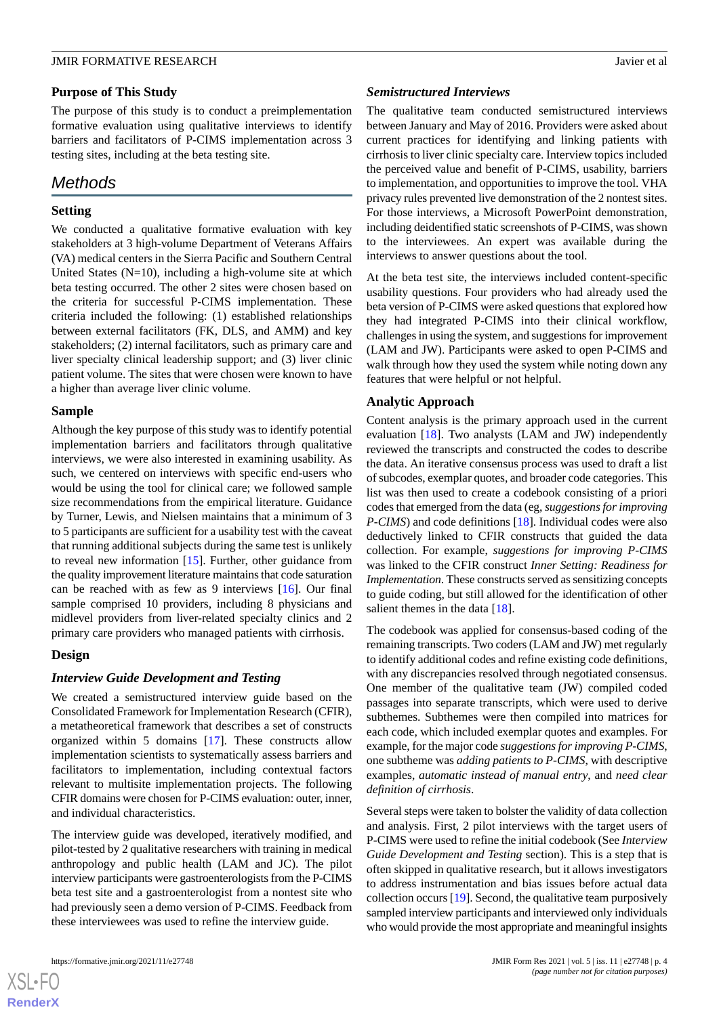## **Purpose of This Study**

The purpose of this study is to conduct a preimplementation formative evaluation using qualitative interviews to identify barriers and facilitators of P-CIMS implementation across 3 testing sites, including at the beta testing site.

## *Methods*

## **Setting**

We conducted a qualitative formative evaluation with key stakeholders at 3 high-volume Department of Veterans Affairs (VA) medical centers in the Sierra Pacific and Southern Central United States  $(N=10)$ , including a high-volume site at which beta testing occurred. The other 2 sites were chosen based on the criteria for successful P-CIMS implementation. These criteria included the following: (1) established relationships between external facilitators (FK, DLS, and AMM) and key stakeholders; (2) internal facilitators, such as primary care and liver specialty clinical leadership support; and (3) liver clinic patient volume. The sites that were chosen were known to have a higher than average liver clinic volume.

## **Sample**

Although the key purpose of this study was to identify potential implementation barriers and facilitators through qualitative interviews, we were also interested in examining usability. As such, we centered on interviews with specific end-users who would be using the tool for clinical care; we followed sample size recommendations from the empirical literature. Guidance by Turner, Lewis, and Nielsen maintains that a minimum of 3 to 5 participants are sufficient for a usability test with the caveat that running additional subjects during the same test is unlikely to reveal new information [[15\]](#page-10-13). Further, other guidance from the quality improvement literature maintains that code saturation can be reached with as few as 9 interviews [[16\]](#page-10-14). Our final sample comprised 10 providers, including 8 physicians and midlevel providers from liver-related specialty clinics and 2 primary care providers who managed patients with cirrhosis.

## **Design**

## *Interview Guide Development and Testing*

We created a semistructured interview guide based on the Consolidated Framework for Implementation Research (CFIR), a metatheoretical framework that describes a set of constructs organized within 5 domains [\[17](#page-10-15)]. These constructs allow implementation scientists to systematically assess barriers and facilitators to implementation, including contextual factors relevant to multisite implementation projects. The following CFIR domains were chosen for P-CIMS evaluation: outer, inner, and individual characteristics.

The interview guide was developed, iteratively modified, and pilot-tested by 2 qualitative researchers with training in medical anthropology and public health (LAM and JC). The pilot interview participants were gastroenterologists from the P-CIMS beta test site and a gastroenterologist from a nontest site who had previously seen a demo version of P-CIMS. Feedback from these interviewees was used to refine the interview guide.

#### *Semistructured Interviews*

The qualitative team conducted semistructured interviews between January and May of 2016. Providers were asked about current practices for identifying and linking patients with cirrhosis to liver clinic specialty care. Interview topics included the perceived value and benefit of P-CIMS, usability, barriers to implementation, and opportunities to improve the tool. VHA privacy rules prevented live demonstration of the 2 nontest sites. For those interviews, a Microsoft PowerPoint demonstration, including deidentified static screenshots of P-CIMS, was shown to the interviewees. An expert was available during the interviews to answer questions about the tool.

At the beta test site, the interviews included content-specific usability questions. Four providers who had already used the beta version of P-CIMS were asked questions that explored how they had integrated P-CIMS into their clinical workflow, challenges in using the system, and suggestions for improvement (LAM and JW). Participants were asked to open P-CIMS and walk through how they used the system while noting down any features that were helpful or not helpful.

## **Analytic Approach**

Content analysis is the primary approach used in the current evaluation [[18\]](#page-10-16). Two analysts (LAM and JW) independently reviewed the transcripts and constructed the codes to describe the data. An iterative consensus process was used to draft a list of subcodes, exemplar quotes, and broader code categories. This list was then used to create a codebook consisting of a priori codes that emerged from the data (eg, *suggestions for improving P-CIMS*) and code definitions [\[18](#page-10-16)]. Individual codes were also deductively linked to CFIR constructs that guided the data collection. For example, *suggestions for improving P-CIMS* was linked to the CFIR construct *Inner Setting: Readiness for Implementation*. These constructs served as sensitizing concepts to guide coding, but still allowed for the identification of other salient themes in the data [[18\]](#page-10-16).

The codebook was applied for consensus-based coding of the remaining transcripts. Two coders (LAM and JW) met regularly to identify additional codes and refine existing code definitions, with any discrepancies resolved through negotiated consensus. One member of the qualitative team (JW) compiled coded passages into separate transcripts, which were used to derive subthemes. Subthemes were then compiled into matrices for each code, which included exemplar quotes and examples. For example, for the major code *suggestions for improving P-CIMS*, one subtheme was *adding patients to P-CIMS*, with descriptive examples, *automatic instead of manual entry*, and *need clear definition of cirrhosis*.

Several steps were taken to bolster the validity of data collection and analysis. First, 2 pilot interviews with the target users of P-CIMS were used to refine the initial codebook (See *Interview Guide Development and Testing* section). This is a step that is often skipped in qualitative research, but it allows investigators to address instrumentation and bias issues before actual data collection occurs [[19\]](#page-10-17). Second, the qualitative team purposively sampled interview participants and interviewed only individuals who would provide the most appropriate and meaningful insights

 $XS$ -FO **[RenderX](http://www.renderx.com/)**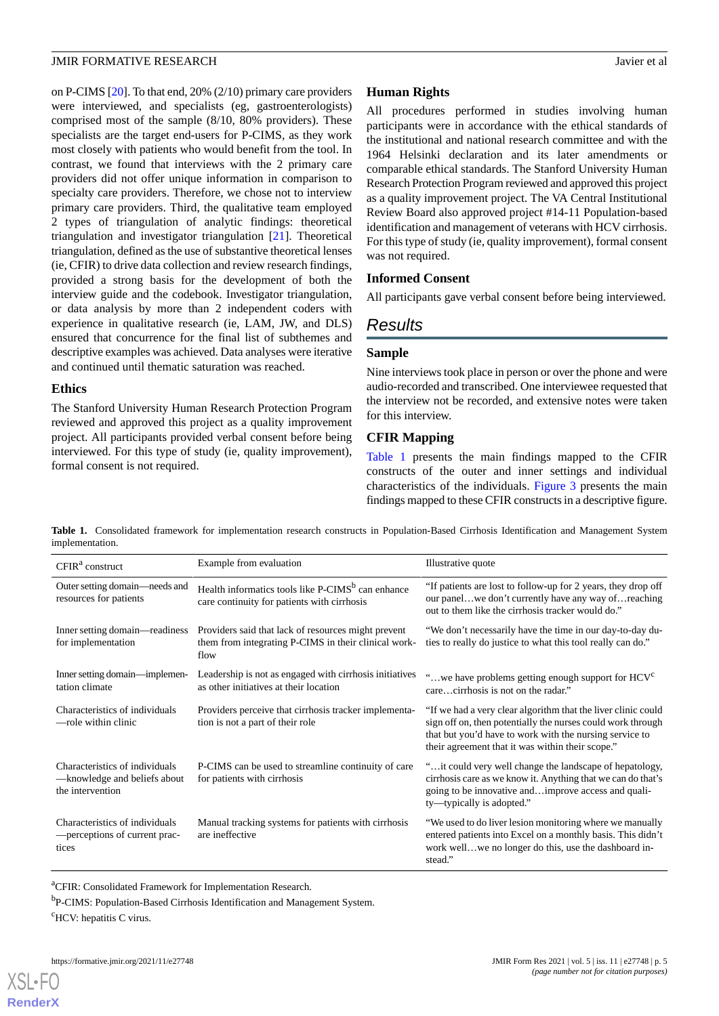on P-CIMS [\[20](#page-10-18)]. To that end, 20% (2/10) primary care providers were interviewed, and specialists (eg, gastroenterologists) comprised most of the sample (8/10, 80% providers). These specialists are the target end-users for P-CIMS, as they work most closely with patients who would benefit from the tool. In contrast, we found that interviews with the 2 primary care providers did not offer unique information in comparison to specialty care providers. Therefore, we chose not to interview primary care providers. Third, the qualitative team employed 2 types of triangulation of analytic findings: theoretical triangulation and investigator triangulation [\[21](#page-10-19)]. Theoretical triangulation, defined as the use of substantive theoretical lenses (ie, CFIR) to drive data collection and review research findings, provided a strong basis for the development of both the interview guide and the codebook. Investigator triangulation, or data analysis by more than 2 independent coders with experience in qualitative research (ie, LAM, JW, and DLS) ensured that concurrence for the final list of subthemes and descriptive examples was achieved. Data analyses were iterative and continued until thematic saturation was reached.

## **Ethics**

The Stanford University Human Research Protection Program reviewed and approved this project as a quality improvement project. All participants provided verbal consent before being interviewed. For this type of study (ie, quality improvement), formal consent is not required.

## **Human Rights**

All procedures performed in studies involving human participants were in accordance with the ethical standards of the institutional and national research committee and with the 1964 Helsinki declaration and its later amendments or comparable ethical standards. The Stanford University Human Research Protection Program reviewed and approved this project as a quality improvement project. The VA Central Institutional Review Board also approved project #14-11 Population-based identification and management of veterans with HCV cirrhosis. For this type of study (ie, quality improvement), formal consent was not required.

## **Informed Consent**

All participants gave verbal consent before being interviewed.

## *Results*

## **Sample**

Nine interviews took place in person or over the phone and were audio-recorded and transcribed. One interviewee requested that the interview not be recorded, and extensive notes were taken for this interview.

## **CFIR Mapping**

[Table 1](#page-4-0) presents the main findings mapped to the CFIR constructs of the outer and inner settings and individual characteristics of the individuals. [Figure 3](#page-5-0) presents the main findings mapped to these CFIR constructs in a descriptive figure.

<span id="page-4-0"></span>**Table 1.** Consolidated framework for implementation research constructs in Population-Based Cirrhosis Identification and Management System implementation.

| $CFIRa$ construct                                                                  | Example from evaluation                                                                                             | Illustrative quote                                                                                                                                                                                                                          |  |  |  |  |
|------------------------------------------------------------------------------------|---------------------------------------------------------------------------------------------------------------------|---------------------------------------------------------------------------------------------------------------------------------------------------------------------------------------------------------------------------------------------|--|--|--|--|
| Outer setting domain—needs and<br>resources for patients                           | Health informatics tools like P-CIMS <sup>b</sup> can enhance<br>care continuity for patients with cirrhosis        | "If patients are lost to follow-up for 2 years, they drop off<br>our panelwe don't currently have any way of reaching<br>out to them like the cirrhosis tracker would do."                                                                  |  |  |  |  |
| Inner setting domain—readiness<br>for implementation                               | Providers said that lack of resources might prevent<br>them from integrating P-CIMS in their clinical work-<br>flow | "We don't necessarily have the time in our day-to-day du-<br>ties to really do justice to what this tool really can do."                                                                                                                    |  |  |  |  |
| Inner setting domain—implemen-<br>tation climate                                   | Leadership is not as engaged with cirrhosis initiatives<br>as other initiatives at their location                   | "we have problems getting enough support for $HCVc$<br>carecirrhosis is not on the radar."                                                                                                                                                  |  |  |  |  |
| Characteristics of individuals<br>—role within clinic                              | Providers perceive that cirrhosis tracker implementa-<br>tion is not a part of their role                           | "If we had a very clear algorithm that the liver clinic could<br>sign off on, then potentially the nurses could work through<br>that but you'd have to work with the nursing service to<br>their agreement that it was within their scope." |  |  |  |  |
| Characteristics of individuals<br>-knowledge and beliefs about<br>the intervention | P-CIMS can be used to streamline continuity of care<br>for patients with cirrhosis                                  | " it could very well change the landscape of hepatology,<br>cirrhosis care as we know it. Anything that we can do that's<br>going to be innovative andimprove access and quali-<br>ty—typically is adopted."                                |  |  |  |  |
| Characteristics of individuals<br>- perceptions of current prac-<br>tices          | Manual tracking systems for patients with cirrhosis<br>are ineffective                                              | "We used to do liver lesion monitoring where we manually<br>entered patients into Excel on a monthly basis. This didn't<br>work wellwe no longer do this, use the dashboard in-<br>stead."                                                  |  |  |  |  |

<sup>a</sup>CFIR: Consolidated Framework for Implementation Research.

<sup>b</sup>P-CIMS: Population-Based Cirrhosis Identification and Management System.

 $\mathrm{C}$ HCV: hepatitis C virus.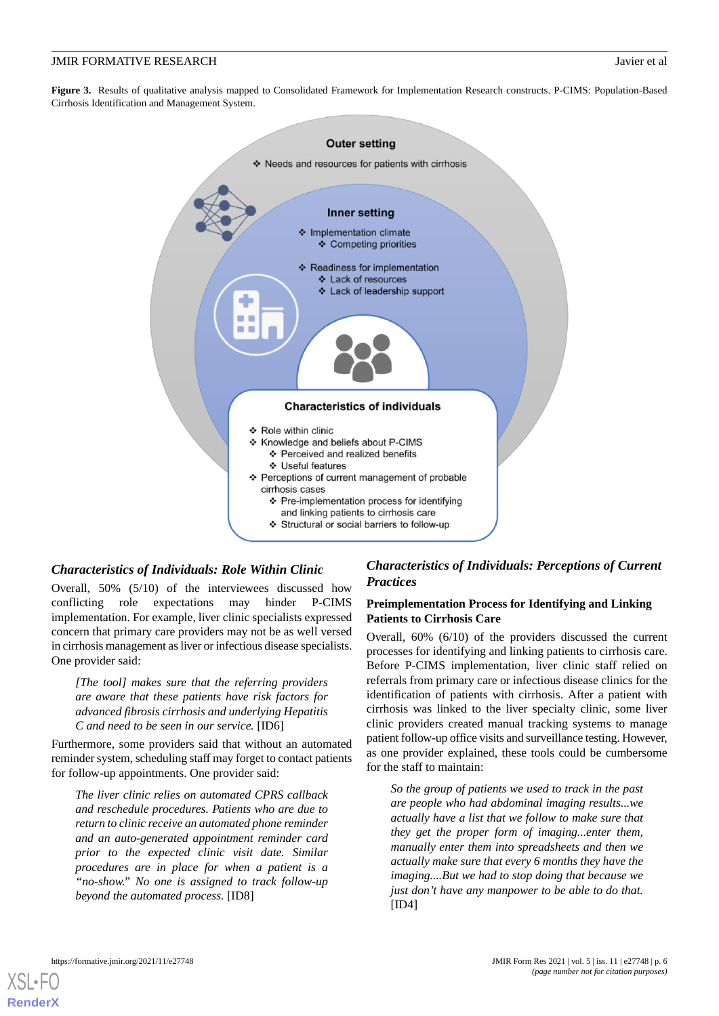<span id="page-5-0"></span>**Figure 3.** Results of qualitative analysis mapped to Consolidated Framework for Implementation Research constructs. P-CIMS: Population-Based Cirrhosis Identification and Management System.



## *Characteristics of Individuals: Role Within Clinic*

Overall, 50% (5/10) of the interviewees discussed how conflicting role expectations may hinder P-CIMS implementation. For example, liver clinic specialists expressed concern that primary care providers may not be as well versed in cirrhosis management as liver or infectious disease specialists. One provider said:

*[The tool] makes sure that the referring providers are aware that these patients have risk factors for advanced fibrosis cirrhosis and underlying Hepatitis C and need to be seen in our service.* [ID6]

Furthermore, some providers said that without an automated reminder system, scheduling staff may forget to contact patients for follow-up appointments. One provider said:

*The liver clinic relies on automated CPRS callback and reschedule procedures. Patients who are due to return to clinic receive an automated phone reminder and an auto-generated appointment reminder card prior to the expected clinic visit date. Similar procedures are in place for when a patient is a "no-show." No one is assigned to track follow-up beyond the automated process.* [ID8]

## *Characteristics of Individuals: Perceptions of Current Practices*

## **Preimplementation Process for Identifying and Linking Patients to Cirrhosis Care**

Overall, 60% (6/10) of the providers discussed the current processes for identifying and linking patients to cirrhosis care. Before P-CIMS implementation, liver clinic staff relied on referrals from primary care or infectious disease clinics for the identification of patients with cirrhosis. After a patient with cirrhosis was linked to the liver specialty clinic, some liver clinic providers created manual tracking systems to manage patient follow-up office visits and surveillance testing. However, as one provider explained, these tools could be cumbersome for the staff to maintain:

*So the group of patients we used to track in the past are people who had abdominal imaging results...we actually have a list that we follow to make sure that they get the proper form of imaging...enter them, manually enter them into spreadsheets and then we actually make sure that every 6 months they have the imaging....But we had to stop doing that because we just don't have any manpower to be able to do that.* [ID4]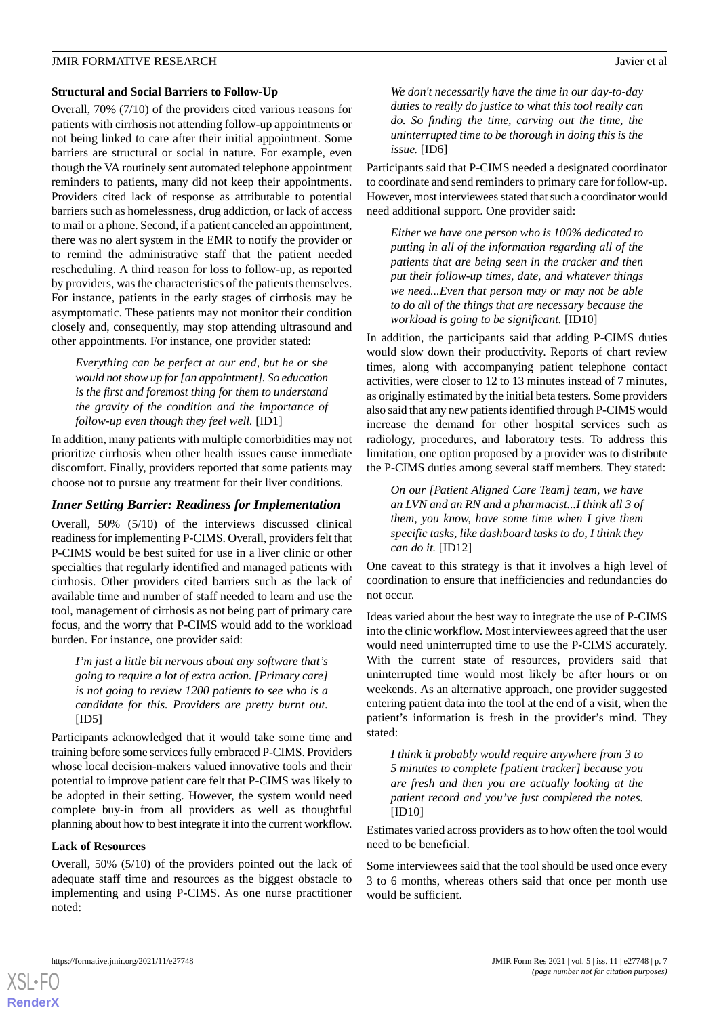## **Structural and Social Barriers to Follow-Up**

Overall, 70% (7/10) of the providers cited various reasons for patients with cirrhosis not attending follow-up appointments or not being linked to care after their initial appointment. Some barriers are structural or social in nature. For example, even though the VA routinely sent automated telephone appointment reminders to patients, many did not keep their appointments. Providers cited lack of response as attributable to potential barriers such as homelessness, drug addiction, or lack of access to mail or a phone. Second, if a patient canceled an appointment, there was no alert system in the EMR to notify the provider or to remind the administrative staff that the patient needed rescheduling. A third reason for loss to follow-up, as reported by providers, was the characteristics of the patients themselves. For instance, patients in the early stages of cirrhosis may be asymptomatic. These patients may not monitor their condition closely and, consequently, may stop attending ultrasound and other appointments. For instance, one provider stated:

*Everything can be perfect at our end, but he or she would not show up for [an appointment]. So education is the first and foremost thing for them to understand the gravity of the condition and the importance of follow-up even though they feel well.* [ID1]

In addition, many patients with multiple comorbidities may not prioritize cirrhosis when other health issues cause immediate discomfort. Finally, providers reported that some patients may choose not to pursue any treatment for their liver conditions.

## *Inner Setting Barrier: Readiness for Implementation*

Overall, 50% (5/10) of the interviews discussed clinical readiness for implementing P-CIMS. Overall, providers felt that P-CIMS would be best suited for use in a liver clinic or other specialties that regularly identified and managed patients with cirrhosis. Other providers cited barriers such as the lack of available time and number of staff needed to learn and use the tool, management of cirrhosis as not being part of primary care focus, and the worry that P-CIMS would add to the workload burden. For instance, one provider said:

*I'm just a little bit nervous about any software that's going to require a lot of extra action. [Primary care] is not going to review 1200 patients to see who is a candidate for this. Providers are pretty burnt out.* [ID5]

Participants acknowledged that it would take some time and training before some services fully embraced P-CIMS. Providers whose local decision-makers valued innovative tools and their potential to improve patient care felt that P-CIMS was likely to be adopted in their setting. However, the system would need complete buy-in from all providers as well as thoughtful planning about how to best integrate it into the current workflow.

#### **Lack of Resources**

Overall, 50% (5/10) of the providers pointed out the lack of adequate staff time and resources as the biggest obstacle to implementing and using P-CIMS. As one nurse practitioner noted:

*We don't necessarily have the time in our day-to-day duties to really do justice to what this tool really can do. So finding the time, carving out the time, the uninterrupted time to be thorough in doing this is the issue.* [ID6]

Participants said that P-CIMS needed a designated coordinator to coordinate and send reminders to primary care for follow-up. However, most interviewees stated that such a coordinator would need additional support. One provider said:

*Either we have one person who is 100% dedicated to putting in all of the information regarding all of the patients that are being seen in the tracker and then put their follow-up times, date, and whatever things we need...Even that person may or may not be able to do all of the things that are necessary because the workload is going to be significant.* [ID10]

In addition, the participants said that adding P-CIMS duties would slow down their productivity. Reports of chart review times, along with accompanying patient telephone contact activities, were closer to 12 to 13 minutes instead of 7 minutes, as originally estimated by the initial beta testers. Some providers also said that any new patients identified through P-CIMS would increase the demand for other hospital services such as radiology, procedures, and laboratory tests. To address this limitation, one option proposed by a provider was to distribute the P-CIMS duties among several staff members. They stated:

*On our [Patient Aligned Care Team] team, we have an LVN and an RN and a pharmacist...I think all 3 of them, you know, have some time when I give them specific tasks, like dashboard tasks to do, I think they can do it.* [ID12]

One caveat to this strategy is that it involves a high level of coordination to ensure that inefficiencies and redundancies do not occur.

Ideas varied about the best way to integrate the use of P-CIMS into the clinic workflow. Most interviewees agreed that the user would need uninterrupted time to use the P-CIMS accurately. With the current state of resources, providers said that uninterrupted time would most likely be after hours or on weekends. As an alternative approach, one provider suggested entering patient data into the tool at the end of a visit, when the patient's information is fresh in the provider's mind. They stated:

*I think it probably would require anywhere from 3 to 5 minutes to complete [patient tracker] because you are fresh and then you are actually looking at the patient record and you've just completed the notes.* [ID10]

Estimates varied across providers as to how often the tool would need to be beneficial.

Some interviewees said that the tool should be used once every 3 to 6 months, whereas others said that once per month use would be sufficient.

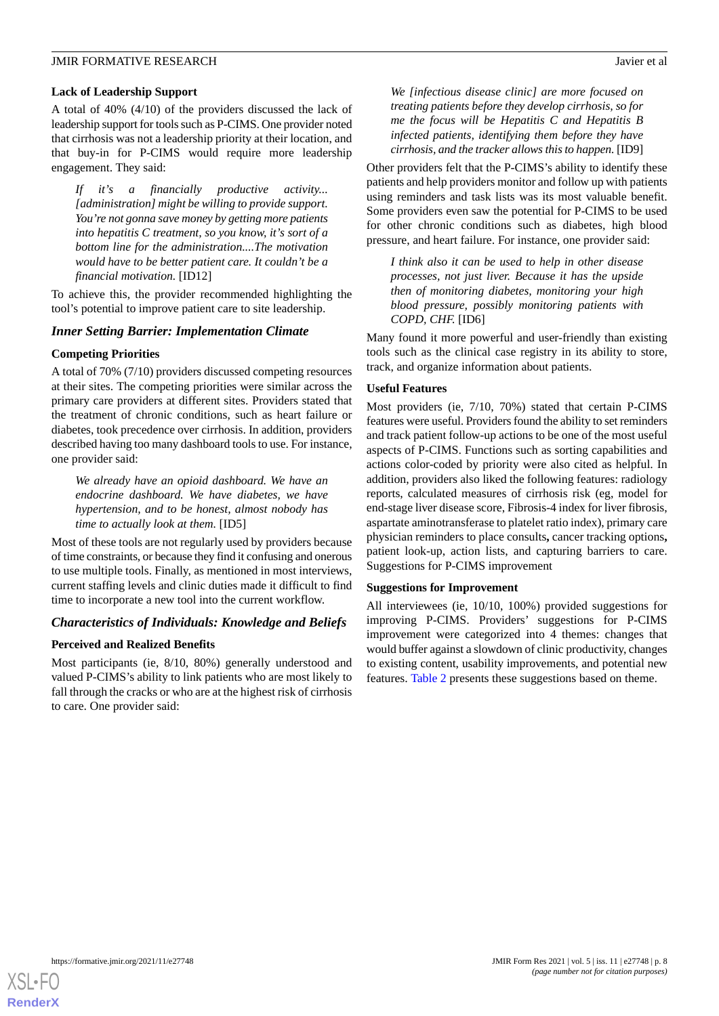## **Lack of Leadership Support**

A total of 40% (4/10) of the providers discussed the lack of leadership support for tools such as P-CIMS. One provider noted that cirrhosis was not a leadership priority at their location, and that buy-in for P-CIMS would require more leadership engagement. They said:

*If it's a financially productive activity... [administration] might be willing to provide support. You're not gonna save money by getting more patients into hepatitis C treatment, so you know, it's sort of a bottom line for the administration....The motivation would have to be better patient care. It couldn't be a financial motivation.* [ID12]

To achieve this, the provider recommended highlighting the tool's potential to improve patient care to site leadership.

## *Inner Setting Barrier: Implementation Climate*

## **Competing Priorities**

A total of 70% (7/10) providers discussed competing resources at their sites. The competing priorities were similar across the primary care providers at different sites. Providers stated that the treatment of chronic conditions, such as heart failure or diabetes, took precedence over cirrhosis. In addition, providers described having too many dashboard tools to use. For instance, one provider said:

*We already have an opioid dashboard. We have an endocrine dashboard. We have diabetes, we have hypertension, and to be honest, almost nobody has time to actually look at them.* [ID5]

Most of these tools are not regularly used by providers because of time constraints, or because they find it confusing and onerous to use multiple tools. Finally, as mentioned in most interviews, current staffing levels and clinic duties made it difficult to find time to incorporate a new tool into the current workflow.

## *Characteristics of Individuals: Knowledge and Beliefs*

## **Perceived and Realized Benefits**

Most participants (ie, 8/10, 80%) generally understood and valued P-CIMS's ability to link patients who are most likely to fall through the cracks or who are at the highest risk of cirrhosis to care. One provider said:

*We [infectious disease clinic] are more focused on treating patients before they develop cirrhosis, so for me the focus will be Hepatitis C and Hepatitis B infected patients, identifying them before they have cirrhosis, and the tracker allows this to happen.* [ID9]

Other providers felt that the P-CIMS's ability to identify these patients and help providers monitor and follow up with patients using reminders and task lists was its most valuable benefit. Some providers even saw the potential for P-CIMS to be used for other chronic conditions such as diabetes, high blood pressure, and heart failure. For instance, one provider said:

*I think also it can be used to help in other disease processes, not just liver. Because it has the upside then of monitoring diabetes, monitoring your high blood pressure, possibly monitoring patients with COPD, CHF.* [ID6]

Many found it more powerful and user-friendly than existing tools such as the clinical case registry in its ability to store, track, and organize information about patients.

## **Useful Features**

Most providers (ie, 7/10, 70%) stated that certain P-CIMS features were useful. Providers found the ability to set reminders and track patient follow-up actions to be one of the most useful aspects of P-CIMS. Functions such as sorting capabilities and actions color-coded by priority were also cited as helpful. In addition, providers also liked the following features: radiology reports, calculated measures of cirrhosis risk (eg, model for end-stage liver disease score, Fibrosis-4 index for liver fibrosis, aspartate aminotransferase to platelet ratio index), primary care physician reminders to place consults**,** cancer tracking options**,** patient look-up, action lists, and capturing barriers to care. Suggestions for P-CIMS improvement

#### **Suggestions for Improvement**

All interviewees (ie, 10/10, 100%) provided suggestions for improving P-CIMS. Providers' suggestions for P-CIMS improvement were categorized into 4 themes: changes that would buffer against a slowdown of clinic productivity, changes to existing content, usability improvements, and potential new features. [Table 2](#page-8-0) presents these suggestions based on theme.

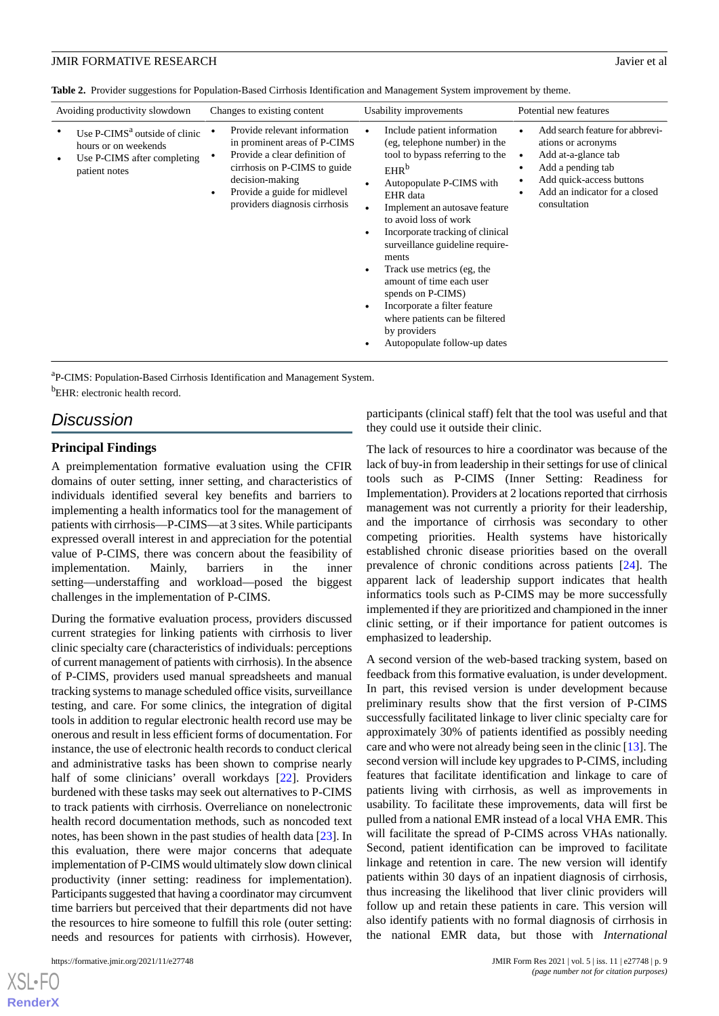<span id="page-8-0"></span>**Table 2.** Provider suggestions for Population-Based Cirrhosis Identification and Management System improvement by theme.

| Avoiding productivity slowdown                                                                                                 | Changes to existing content                                                                                                                                                                                                    | Usability improvements                                                                                                                                                                                                                                                                                                                                                                                                                                                                                 | Potential new features                                                                                                                                                         |  |  |
|--------------------------------------------------------------------------------------------------------------------------------|--------------------------------------------------------------------------------------------------------------------------------------------------------------------------------------------------------------------------------|--------------------------------------------------------------------------------------------------------------------------------------------------------------------------------------------------------------------------------------------------------------------------------------------------------------------------------------------------------------------------------------------------------------------------------------------------------------------------------------------------------|--------------------------------------------------------------------------------------------------------------------------------------------------------------------------------|--|--|
| Use P-CIMS <sup>a</sup> outside of clinic<br>hours or on weekends<br>Use P-CIMS after completing<br>$\bullet$<br>patient notes | Provide relevant information<br>in prominent areas of P-CIMS<br>Provide a clear definition of<br>cirrhosis on P-CIMS to guide<br>decision-making<br>Provide a guide for midlevel<br>$\bullet$<br>providers diagnosis cirrhosis | Include patient information<br>(eg, telephone number) in the<br>tool to bypass referring to the<br>EHR <sup>b</sup><br>Autopopulate P-CIMS with<br>EHR data<br>Implement an autosave feature<br>to avoid loss of work<br>Incorporate tracking of clinical<br>surveillance guideline require-<br>ments<br>Track use metrics (eg, the<br>amount of time each user<br>spends on P-CIMS)<br>Incorporate a filter feature<br>where patients can be filtered<br>by providers<br>Autopopulate follow-up dates | Add search feature for abbrevi-<br>ations or acronyms<br>Add at-a-glance tab<br>Add a pending tab<br>Add quick-access buttons<br>Add an indicator for a closed<br>consultation |  |  |
|                                                                                                                                |                                                                                                                                                                                                                                |                                                                                                                                                                                                                                                                                                                                                                                                                                                                                                        |                                                                                                                                                                                |  |  |

<sup>a</sup>P-CIMS: Population-Based Cirrhosis Identification and Management System.  $<sup>b</sup>$ EHR: electronic health record.</sup>

## *Discussion*

## **Principal Findings**

A preimplementation formative evaluation using the CFIR domains of outer setting, inner setting, and characteristics of individuals identified several key benefits and barriers to implementing a health informatics tool for the management of patients with cirrhosis—P-CIMS—at 3 sites. While participants expressed overall interest in and appreciation for the potential value of P-CIMS, there was concern about the feasibility of implementation. Mainly, barriers in the inner setting—understaffing and workload—posed the biggest challenges in the implementation of P-CIMS.

During the formative evaluation process, providers discussed current strategies for linking patients with cirrhosis to liver clinic specialty care (characteristics of individuals: perceptions of current management of patients with cirrhosis). In the absence of P-CIMS, providers used manual spreadsheets and manual tracking systems to manage scheduled office visits, surveillance testing, and care. For some clinics, the integration of digital tools in addition to regular electronic health record use may be onerous and result in less efficient forms of documentation. For instance, the use of electronic health records to conduct clerical and administrative tasks has been shown to comprise nearly half of some clinicians' overall workdays [[22\]](#page-10-20). Providers burdened with these tasks may seek out alternatives to P-CIMS to track patients with cirrhosis. Overreliance on nonelectronic health record documentation methods, such as noncoded text notes, has been shown in the past studies of health data [\[23](#page-11-0)]. In this evaluation, there were major concerns that adequate implementation of P-CIMS would ultimately slow down clinical productivity (inner setting: readiness for implementation). Participants suggested that having a coordinator may circumvent time barriers but perceived that their departments did not have the resources to hire someone to fulfill this role (outer setting: needs and resources for patients with cirrhosis). However,

 $X$ SL•F $O$ **[RenderX](http://www.renderx.com/)** participants (clinical staff) felt that the tool was useful and that they could use it outside their clinic.

The lack of resources to hire a coordinator was because of the lack of buy-in from leadership in their settings for use of clinical tools such as P-CIMS (Inner Setting: Readiness for Implementation). Providers at 2 locations reported that cirrhosis management was not currently a priority for their leadership, and the importance of cirrhosis was secondary to other competing priorities. Health systems have historically established chronic disease priorities based on the overall prevalence of chronic conditions across patients [\[24](#page-11-1)]. The apparent lack of leadership support indicates that health informatics tools such as P-CIMS may be more successfully implemented if they are prioritized and championed in the inner clinic setting, or if their importance for patient outcomes is emphasized to leadership.

A second version of the web-based tracking system, based on feedback from this formative evaluation, is under development. In part, this revised version is under development because preliminary results show that the first version of P-CIMS successfully facilitated linkage to liver clinic specialty care for approximately 30% of patients identified as possibly needing care and who were not already being seen in the clinic [[13\]](#page-10-10). The second version will include key upgrades to P-CIMS, including features that facilitate identification and linkage to care of patients living with cirrhosis, as well as improvements in usability. To facilitate these improvements, data will first be pulled from a national EMR instead of a local VHA EMR. This will facilitate the spread of P-CIMS across VHAs nationally. Second, patient identification can be improved to facilitate linkage and retention in care. The new version will identify patients within 30 days of an inpatient diagnosis of cirrhosis, thus increasing the likelihood that liver clinic providers will follow up and retain these patients in care. This version will also identify patients with no formal diagnosis of cirrhosis in the national EMR data, but those with *International*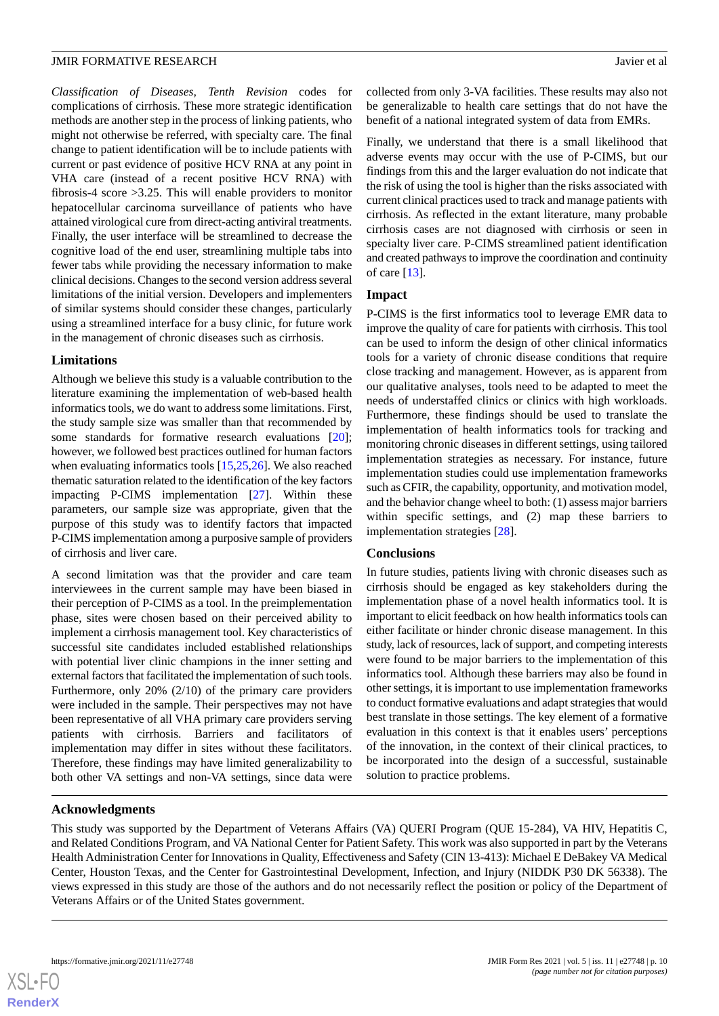*Classification of Diseases, Tenth Revision* codes for complications of cirrhosis. These more strategic identification methods are another step in the process of linking patients, who might not otherwise be referred, with specialty care. The final change to patient identification will be to include patients with current or past evidence of positive HCV RNA at any point in VHA care (instead of a recent positive HCV RNA) with fibrosis-4 score >3.25. This will enable providers to monitor hepatocellular carcinoma surveillance of patients who have attained virological cure from direct-acting antiviral treatments. Finally, the user interface will be streamlined to decrease the cognitive load of the end user, streamlining multiple tabs into fewer tabs while providing the necessary information to make clinical decisions. Changes to the second version address several limitations of the initial version. Developers and implementers of similar systems should consider these changes, particularly using a streamlined interface for a busy clinic, for future work in the management of chronic diseases such as cirrhosis.

## **Limitations**

Although we believe this study is a valuable contribution to the literature examining the implementation of web-based health informatics tools, we do want to address some limitations. First, the study sample size was smaller than that recommended by some standards for formative research evaluations [[20\]](#page-10-18); however, we followed best practices outlined for human factors when evaluating informatics tools [\[15](#page-10-13),[25](#page-11-2)[,26](#page-11-3)]. We also reached thematic saturation related to the identification of the key factors impacting P-CIMS implementation [[27\]](#page-11-4). Within these parameters, our sample size was appropriate, given that the purpose of this study was to identify factors that impacted P-CIMS implementation among a purposive sample of providers of cirrhosis and liver care.

A second limitation was that the provider and care team interviewees in the current sample may have been biased in their perception of P-CIMS as a tool. In the preimplementation phase, sites were chosen based on their perceived ability to implement a cirrhosis management tool. Key characteristics of successful site candidates included established relationships with potential liver clinic champions in the inner setting and external factors that facilitated the implementation of such tools. Furthermore, only 20% (2/10) of the primary care providers were included in the sample. Their perspectives may not have been representative of all VHA primary care providers serving patients with cirrhosis. Barriers and facilitators of implementation may differ in sites without these facilitators. Therefore, these findings may have limited generalizability to both other VA settings and non-VA settings, since data were

collected from only 3-VA facilities. These results may also not be generalizable to health care settings that do not have the benefit of a national integrated system of data from EMRs.

Finally, we understand that there is a small likelihood that adverse events may occur with the use of P-CIMS, but our findings from this and the larger evaluation do not indicate that the risk of using the tool is higher than the risks associated with current clinical practices used to track and manage patients with cirrhosis. As reflected in the extant literature, many probable cirrhosis cases are not diagnosed with cirrhosis or seen in specialty liver care. P-CIMS streamlined patient identification and created pathways to improve the coordination and continuity of care [[13\]](#page-10-10).

## **Impact**

P-CIMS is the first informatics tool to leverage EMR data to improve the quality of care for patients with cirrhosis. This tool can be used to inform the design of other clinical informatics tools for a variety of chronic disease conditions that require close tracking and management. However, as is apparent from our qualitative analyses, tools need to be adapted to meet the needs of understaffed clinics or clinics with high workloads. Furthermore, these findings should be used to translate the implementation of health informatics tools for tracking and monitoring chronic diseases in different settings, using tailored implementation strategies as necessary. For instance, future implementation studies could use implementation frameworks such as CFIR, the capability, opportunity, and motivation model, and the behavior change wheel to both: (1) assess major barriers within specific settings, and (2) map these barriers to implementation strategies [\[28](#page-11-5)].

## **Conclusions**

In future studies, patients living with chronic diseases such as cirrhosis should be engaged as key stakeholders during the implementation phase of a novel health informatics tool. It is important to elicit feedback on how health informatics tools can either facilitate or hinder chronic disease management. In this study, lack of resources, lack of support, and competing interests were found to be major barriers to the implementation of this informatics tool. Although these barriers may also be found in other settings, it is important to use implementation frameworks to conduct formative evaluations and adapt strategies that would best translate in those settings. The key element of a formative evaluation in this context is that it enables users' perceptions of the innovation, in the context of their clinical practices, to be incorporated into the design of a successful, sustainable solution to practice problems.

## **Acknowledgments**

This study was supported by the Department of Veterans Affairs (VA) QUERI Program (QUE 15-284), VA HIV, Hepatitis C, and Related Conditions Program, and VA National Center for Patient Safety. This work was also supported in part by the Veterans Health Administration Center for Innovations in Quality, Effectiveness and Safety (CIN 13-413): Michael E DeBakey VA Medical Center, Houston Texas, and the Center for Gastrointestinal Development, Infection, and Injury (NIDDK P30 DK 56338). The views expressed in this study are those of the authors and do not necessarily reflect the position or policy of the Department of Veterans Affairs or of the United States government.

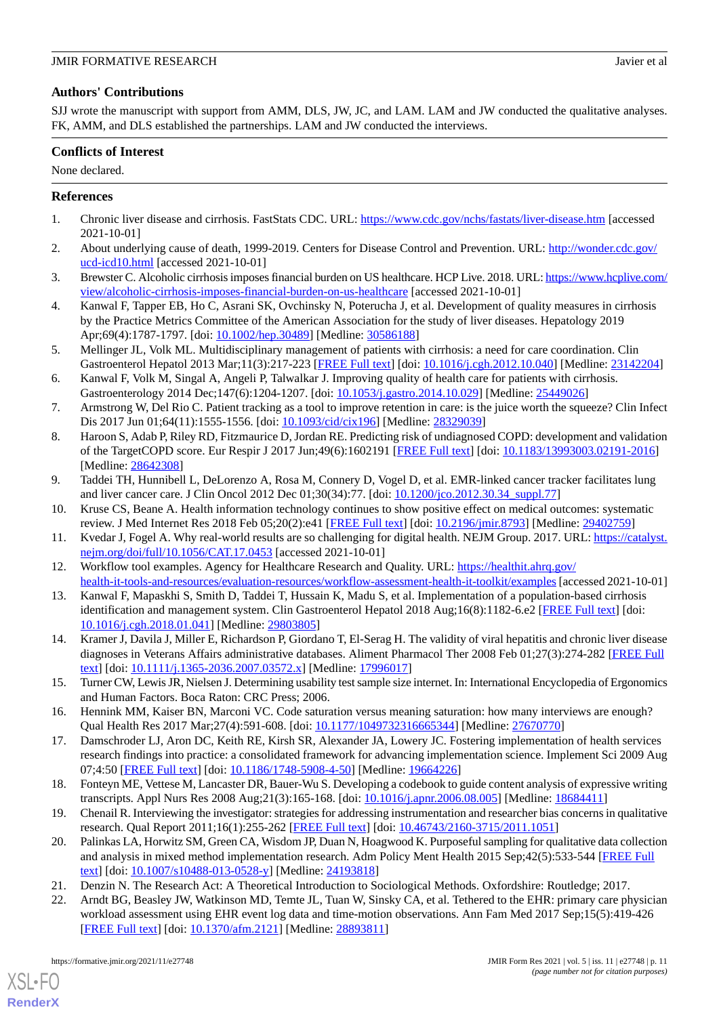## **Authors' Contributions**

SJJ wrote the manuscript with support from AMM, DLS, JW, JC, and LAM. LAM and JW conducted the qualitative analyses. FK, AMM, and DLS established the partnerships. LAM and JW conducted the interviews.

## **Conflicts of Interest**

None declared.

## <span id="page-10-0"></span>**References**

- <span id="page-10-1"></span>1. Chronic liver disease and cirrhosis. FastStats CDC. URL: <https://www.cdc.gov/nchs/fastats/liver-disease.htm> [accessed 2021-10-01]
- <span id="page-10-2"></span>2. About underlying cause of death, 1999-2019. Centers for Disease Control and Prevention. URL: [http://wonder.cdc.gov/](http://wonder.cdc.gov/ucd-icd10.html) [ucd-icd10.html](http://wonder.cdc.gov/ucd-icd10.html) [accessed 2021-10-01]
- <span id="page-10-3"></span>3. Brewster C. Alcoholic cirrhosis imposes financial burden on US healthcare. HCP Live. 2018. URL: [https://www.hcplive.com/](https://www.hcplive.com/view/alcoholic-cirrhosis-imposes-financial-burden-on-us-healthcare) [view/alcoholic-cirrhosis-imposes-financial-burden-on-us-healthcare](https://www.hcplive.com/view/alcoholic-cirrhosis-imposes-financial-burden-on-us-healthcare) [accessed 2021-10-01]
- <span id="page-10-4"></span>4. Kanwal F, Tapper EB, Ho C, Asrani SK, Ovchinsky N, Poterucha J, et al. Development of quality measures in cirrhosis by the Practice Metrics Committee of the American Association for the study of liver diseases. Hepatology 2019 Apr;69(4):1787-1797. [doi: [10.1002/hep.30489](http://dx.doi.org/10.1002/hep.30489)] [Medline: [30586188](http://www.ncbi.nlm.nih.gov/entrez/query.fcgi?cmd=Retrieve&db=PubMed&list_uids=30586188&dopt=Abstract)]
- <span id="page-10-5"></span>5. Mellinger JL, Volk ML. Multidisciplinary management of patients with cirrhosis: a need for care coordination. Clin Gastroenterol Hepatol 2013 Mar;11(3):217-223 [\[FREE Full text\]](http://europepmc.org/abstract/MED/23142204) [doi: [10.1016/j.cgh.2012.10.040](http://dx.doi.org/10.1016/j.cgh.2012.10.040)] [Medline: [23142204](http://www.ncbi.nlm.nih.gov/entrez/query.fcgi?cmd=Retrieve&db=PubMed&list_uids=23142204&dopt=Abstract)]
- <span id="page-10-6"></span>6. Kanwal F, Volk M, Singal A, Angeli P, Talwalkar J. Improving quality of health care for patients with cirrhosis. Gastroenterology 2014 Dec;147(6):1204-1207. [doi: [10.1053/j.gastro.2014.10.029](http://dx.doi.org/10.1053/j.gastro.2014.10.029)] [Medline: [25449026](http://www.ncbi.nlm.nih.gov/entrez/query.fcgi?cmd=Retrieve&db=PubMed&list_uids=25449026&dopt=Abstract)]
- 7. Armstrong W, Del Rio C. Patient tracking as a tool to improve retention in care: is the juice worth the squeeze? Clin Infect Dis 2017 Jun 01;64(11):1555-1556. [doi: [10.1093/cid/cix196](http://dx.doi.org/10.1093/cid/cix196)] [Medline: [28329039](http://www.ncbi.nlm.nih.gov/entrez/query.fcgi?cmd=Retrieve&db=PubMed&list_uids=28329039&dopt=Abstract)]
- <span id="page-10-11"></span><span id="page-10-7"></span>8. Haroon S, Adab P, Riley RD, Fitzmaurice D, Jordan RE. Predicting risk of undiagnosed COPD: development and validation of the TargetCOPD score. Eur Respir J 2017 Jun;49(6):1602191 [[FREE Full text](http://erj.ersjournals.com/cgi/pmidlookup?view=long&pmid=28642308)] [doi: [10.1183/13993003.02191-2016\]](http://dx.doi.org/10.1183/13993003.02191-2016) [Medline: [28642308](http://www.ncbi.nlm.nih.gov/entrez/query.fcgi?cmd=Retrieve&db=PubMed&list_uids=28642308&dopt=Abstract)]
- <span id="page-10-8"></span>9. Taddei TH, Hunnibell L, DeLorenzo A, Rosa M, Connery D, Vogel D, et al. EMR-linked cancer tracker facilitates lung and liver cancer care. J Clin Oncol 2012 Dec 01;30(34):77. [doi: [10.1200/jco.2012.30.34\\_suppl.77](http://dx.doi.org/10.1200/jco.2012.30.34_suppl.77)]
- <span id="page-10-9"></span>10. Kruse CS, Beane A. Health information technology continues to show positive effect on medical outcomes: systematic review. J Med Internet Res 2018 Feb 05;20(2):e41 [\[FREE Full text\]](https://www.jmir.org/2018/2/e41/) [doi: [10.2196/jmir.8793\]](http://dx.doi.org/10.2196/jmir.8793) [Medline: [29402759\]](http://www.ncbi.nlm.nih.gov/entrez/query.fcgi?cmd=Retrieve&db=PubMed&list_uids=29402759&dopt=Abstract)
- <span id="page-10-10"></span>11. Kvedar J, Fogel A. Why real-world results are so challenging for digital health. NEJM Group. 2017. URL: [https://catalyst.](https://catalyst.nejm.org/doi/full/10.1056/CAT.17.0453) [nejm.org/doi/full/10.1056/CAT.17.0453](https://catalyst.nejm.org/doi/full/10.1056/CAT.17.0453) [accessed 2021-10-01]
- <span id="page-10-12"></span>12. Workflow tool examples. Agency for Healthcare Research and Quality. URL: [https://healthit.ahrq.gov/](https://healthit.ahrq.gov/health-it-tools-and-resources/evaluation-resources/workflow-assessment-health-it-toolkit/examples) [health-it-tools-and-resources/evaluation-resources/workflow-assessment-health-it-toolkit/examples](https://healthit.ahrq.gov/health-it-tools-and-resources/evaluation-resources/workflow-assessment-health-it-toolkit/examples) [accessed 2021-10-01]
- <span id="page-10-13"></span>13. Kanwal F, Mapaskhi S, Smith D, Taddei T, Hussain K, Madu S, et al. Implementation of a population-based cirrhosis identification and management system. Clin Gastroenterol Hepatol 2018 Aug;16(8):1182-6.e2 [\[FREE Full text\]](http://europepmc.org/abstract/MED/29803805) [doi: [10.1016/j.cgh.2018.01.041](http://dx.doi.org/10.1016/j.cgh.2018.01.041)] [Medline: [29803805\]](http://www.ncbi.nlm.nih.gov/entrez/query.fcgi?cmd=Retrieve&db=PubMed&list_uids=29803805&dopt=Abstract)
- <span id="page-10-14"></span>14. Kramer J, Davila J, Miller E, Richardson P, Giordano T, El-Serag H. The validity of viral hepatitis and chronic liver disease diagnoses in Veterans Affairs administrative databases. Aliment Pharmacol Ther 2008 Feb 01;27(3):274-282 [\[FREE Full](https://doi.org/10.1111/j.1365-2036.2007.03572.x) [text](https://doi.org/10.1111/j.1365-2036.2007.03572.x)] [doi: [10.1111/j.1365-2036.2007.03572.x\]](http://dx.doi.org/10.1111/j.1365-2036.2007.03572.x) [Medline: [17996017\]](http://www.ncbi.nlm.nih.gov/entrez/query.fcgi?cmd=Retrieve&db=PubMed&list_uids=17996017&dopt=Abstract)
- <span id="page-10-15"></span>15. Turner CW, Lewis JR, Nielsen J. Determining usability test sample size internet. In: International Encyclopedia of Ergonomics and Human Factors. Boca Raton: CRC Press; 2006.
- <span id="page-10-16"></span>16. Hennink MM, Kaiser BN, Marconi VC. Code saturation versus meaning saturation: how many interviews are enough? Qual Health Res 2017 Mar;27(4):591-608. [doi: [10.1177/1049732316665344](http://dx.doi.org/10.1177/1049732316665344)] [Medline: [27670770](http://www.ncbi.nlm.nih.gov/entrez/query.fcgi?cmd=Retrieve&db=PubMed&list_uids=27670770&dopt=Abstract)]
- <span id="page-10-18"></span><span id="page-10-17"></span>17. Damschroder LJ, Aron DC, Keith RE, Kirsh SR, Alexander JA, Lowery JC. Fostering implementation of health services research findings into practice: a consolidated framework for advancing implementation science. Implement Sci 2009 Aug 07;4:50 [[FREE Full text](https://implementationscience.biomedcentral.com/articles/10.1186/1748-5908-4-50)] [doi: [10.1186/1748-5908-4-50\]](http://dx.doi.org/10.1186/1748-5908-4-50) [Medline: [19664226\]](http://www.ncbi.nlm.nih.gov/entrez/query.fcgi?cmd=Retrieve&db=PubMed&list_uids=19664226&dopt=Abstract)
- <span id="page-10-19"></span>18. Fonteyn ME, Vettese M, Lancaster DR, Bauer-Wu S. Developing a codebook to guide content analysis of expressive writing transcripts. Appl Nurs Res 2008 Aug;21(3):165-168. [doi: [10.1016/j.apnr.2006.08.005](http://dx.doi.org/10.1016/j.apnr.2006.08.005)] [Medline: [18684411\]](http://www.ncbi.nlm.nih.gov/entrez/query.fcgi?cmd=Retrieve&db=PubMed&list_uids=18684411&dopt=Abstract)
- <span id="page-10-20"></span>19. Chenail R. Interviewing the investigator: strategies for addressing instrumentation and researcher bias concerns in qualitative research. Qual Report 2011;16(1):255-262 [[FREE Full text](http://www.nova.edu/ssss/QR/QR16-1/interviewing.pdf)] [doi: [10.46743/2160-3715/2011.1051](http://dx.doi.org/10.46743/2160-3715/2011.1051)]
- 20. Palinkas LA, Horwitz SM, Green CA, Wisdom JP, Duan N, Hoagwood K. Purposeful sampling for qualitative data collection and analysis in mixed method implementation research. Adm Policy Ment Health 2015 Sep;42(5):533-544 [[FREE Full](http://europepmc.org/abstract/MED/24193818) [text](http://europepmc.org/abstract/MED/24193818)] [doi: [10.1007/s10488-013-0528-y\]](http://dx.doi.org/10.1007/s10488-013-0528-y) [Medline: [24193818](http://www.ncbi.nlm.nih.gov/entrez/query.fcgi?cmd=Retrieve&db=PubMed&list_uids=24193818&dopt=Abstract)]
- 21. Denzin N. The Research Act: A Theoretical Introduction to Sociological Methods. Oxfordshire: Routledge; 2017.
- 22. Arndt BG, Beasley JW, Watkinson MD, Temte JL, Tuan W, Sinsky CA, et al. Tethered to the EHR: primary care physician workload assessment using EHR event log data and time-motion observations. Ann Fam Med 2017 Sep;15(5):419-426 [[FREE Full text](http://www.annfammed.org/cgi/pmidlookup?view=long&pmid=28893811)] [doi: [10.1370/afm.2121\]](http://dx.doi.org/10.1370/afm.2121) [Medline: [28893811\]](http://www.ncbi.nlm.nih.gov/entrez/query.fcgi?cmd=Retrieve&db=PubMed&list_uids=28893811&dopt=Abstract)